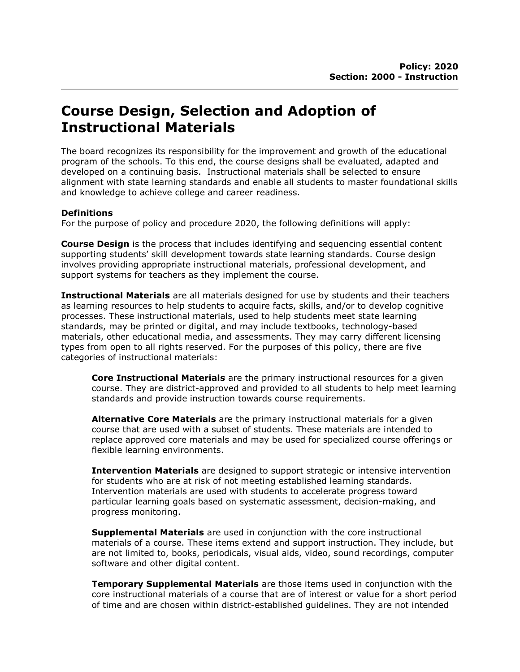## Course Design, Selection and Adoption of Instructional Materials

The board recognizes its responsibility for the improvement and growth of the educational program of the schools. To this end, the course designs shall be evaluated, adapted and developed on a continuing basis. Instructional materials shall be selected to ensure alignment with state learning standards and enable all students to master foundational skills and knowledge to achieve college and career readiness.

## **Definitions**

For the purpose of policy and procedure 2020, the following definitions will apply:

**Course Design** is the process that includes identifying and sequencing essential content supporting students' skill development towards state learning standards. Course design involves providing appropriate instructional materials, professional development, and support systems for teachers as they implement the course.

**Instructional Materials** are all materials designed for use by students and their teachers as learning resources to help students to acquire facts, skills, and/or to develop cognitive processes. These instructional materials, used to help students meet state learning standards, may be printed or digital, and may include textbooks, technology-based materials, other educational media, and assessments. They may carry different licensing types from open to all rights reserved. For the purposes of this policy, there are five categories of instructional materials:

Core Instructional Materials are the primary instructional resources for a given course. They are district-approved and provided to all students to help meet learning standards and provide instruction towards course requirements.

Alternative Core Materials are the primary instructional materials for a given course that are used with a subset of students. These materials are intended to replace approved core materials and may be used for specialized course offerings or flexible learning environments.

**Intervention Materials** are designed to support strategic or intensive intervention for students who are at risk of not meeting established learning standards. Intervention materials are used with students to accelerate progress toward particular learning goals based on systematic assessment, decision-making, and progress monitoring.

**Supplemental Materials** are used in conjunction with the core instructional materials of a course. These items extend and support instruction. They include, but are not limited to, books, periodicals, visual aids, video, sound recordings, computer software and other digital content.

**Temporary Supplemental Materials** are those items used in conjunction with the core instructional materials of a course that are of interest or value for a short period of time and are chosen within district-established guidelines. They are not intended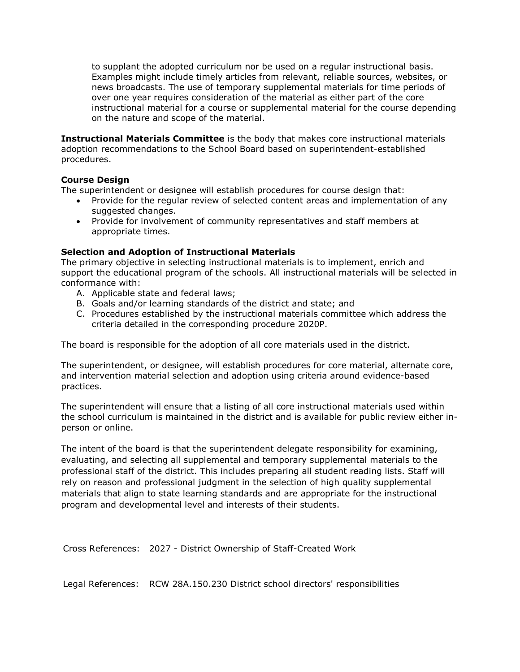to supplant the adopted curriculum nor be used on a regular instructional basis. Examples might include timely articles from relevant, reliable sources, websites, or news broadcasts. The use of temporary supplemental materials for time periods of over one year requires consideration of the material as either part of the core instructional material for a course or supplemental material for the course depending on the nature and scope of the material.

Instructional Materials Committee is the body that makes core instructional materials adoption recommendations to the School Board based on superintendent-established procedures.

## Course Design

The superintendent or designee will establish procedures for course design that:

- Provide for the regular review of selected content areas and implementation of any suggested changes.
- Provide for involvement of community representatives and staff members at appropriate times.

## Selection and Adoption of Instructional Materials

The primary objective in selecting instructional materials is to implement, enrich and support the educational program of the schools. All instructional materials will be selected in conformance with:

- A. Applicable state and federal laws;
- B. Goals and/or learning standards of the district and state; and
- C. Procedures established by the instructional materials committee which address the criteria detailed in the corresponding procedure 2020P.

The board is responsible for the adoption of all core materials used in the district.

The superintendent, or designee, will establish procedures for core material, alternate core, and intervention material selection and adoption using criteria around evidence-based practices.

The superintendent will ensure that a listing of all core instructional materials used within the school curriculum is maintained in the district and is available for public review either inperson or online.

The intent of the board is that the superintendent delegate responsibility for examining, evaluating, and selecting all supplemental and temporary supplemental materials to the professional staff of the district. This includes preparing all student reading lists. Staff will rely on reason and professional judgment in the selection of high quality supplemental materials that align to state learning standards and are appropriate for the instructional program and developmental level and interests of their students.

Cross References: 2027 - District Ownership of Staff-Created Work

Legal References: RCW 28A.150.230 District school directors' responsibilities